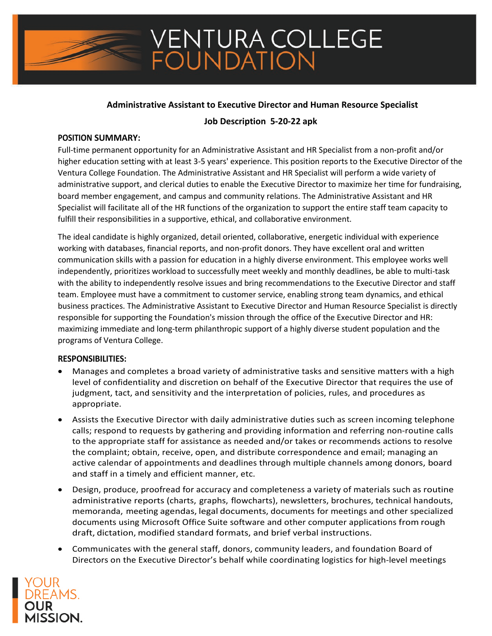## **Administrative Assistant to Executive Director and Human Resource Specialist**

## **Job Description 5-20-22 apk**

### **POSITION SUMMARY:**

Full-time permanent opportunity for an Administrative Assistant and HR Specialist from a non-profit and/or higher education setting with at least 3-5 years' experience. This position reports to the Executive Director of the Ventura College Foundation. The Administrative Assistant and HR Specialist will perform a wide variety of administrative support, and clerical duties to enable the Executive Director to maximize her time for fundraising, board member engagement, and campus and community relations. The Administrative Assistant and HR Specialist will facilitate all of the HR functions of the organization to support the entire staff team capacity to fulfill their responsibilities in a supportive, ethical, and collaborative environment.

The ideal candidate is highly organized, detail oriented, collaborative, energetic individual with experience working with databases, financial reports, and non-profit donors. They have excellent oral and written communication skills with a passion for education in a highly diverse environment. This employee works well independently, prioritizes workload to successfully meet weekly and monthly deadlines, be able to multi-task with the ability to independently resolve issues and bring recommendations to the Executive Director and staff team. Employee must have a commitment to customer service, enabling strong team dynamics, and ethical business practices. The Administrative Assistant to Executive Director and Human Resource Specialist is directly responsible for supporting the Foundation's mission through the office of the Executive Director and HR: maximizing immediate and long-term philanthropic support of a highly diverse student population and the programs of Ventura College.

### **RESPONSIBILITIES:**

- Manages and completes a broad variety of administrative tasks and sensitive matters with a high level of confidentiality and discretion on behalf of the Executive Director that requires the use of judgment, tact, and sensitivity and the interpretation of policies, rules, and procedures as appropriate.
- Assists the Executive Director with daily administrative duties such as screen incoming telephone calls; respond to requests by gathering and providing information and referring non-routine calls to the appropriate staff for assistance as needed and/or takes or recommends actions to resolve the complaint; obtain, receive, open, and distribute correspondence and email; managing an active calendar of appointments and deadlines through multiple channels among donors, board and staff in a timely and efficient manner, etc.
- Design, produce, proofread for accuracy and completeness a variety of materials such as routine administrative reports (charts, graphs, flowcharts), newsletters, brochures, technical handouts, memoranda, meeting agendas, legal documents, documents for meetings and other specialized documents using Microsoft Office Suite software and other computer applications from rough draft, dictation, modified standard formats, and brief verbal instructions.
- Communicates with the general staff, donors, community leaders, and foundation Board of Directors on the Executive Director's behalf while coordinating logistics for high-level meetings

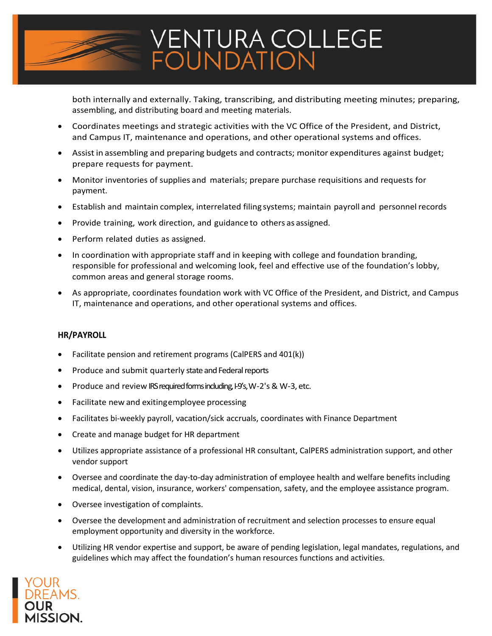

both internally and externally. Taking, transcribing, and distributing meeting minutes; preparing, assembling, and distributing board and meeting materials.

- Coordinates meetings and strategic activities with the VC Office of the President, and District, and Campus IT, maintenance and operations, and other operational systems and offices.
- Assist in assembling and preparing budgets and contracts; monitor expenditures against budget; prepare requests for payment.
- Monitor inventories of supplies and materials; prepare purchase requisitions and requests for payment.
- Establish and maintain complex, interrelated filing systems; maintain payroll and personnelrecords
- Provide training, work direction, and guidance to others as assigned.
- Perform related duties as assigned.
- In coordination with appropriate staff and in keeping with college and foundation branding, responsible for professional and welcoming look, feel and effective use of the foundation's lobby, common areas and general storage rooms.
- As appropriate, coordinates foundation work with VC Office of the President, and District, and Campus IT, maintenance and operations, and other operational systems and offices.

## **HR/PAYROLL**

- Facilitate pension and retirement programs (CalPERS and 401(k))
- Produce and submit quarterly state and Federal reports
- Produce and review IRS required forms including, I-9's, W-2's & W-3, etc.
- Facilitate new and exiting employee processing
- Facilitates bi-weekly payroll, vacation/sick accruals, coordinates with Finance Department
- Create and manage budget for HR department
- Utilizes appropriate assistance of a professional HR consultant, CalPERS administration support, and other vendor support
- Oversee and coordinate the day-to-day administration of employee health and welfare benefits including medical, dental, vision, insurance, workers' compensation, safety, and the employee assistance program.
- Oversee investigation of complaints.
- Oversee the development and administration of recruitment and selection processes to ensure equal employment opportunity and diversity in the workforce.
- Utilizing HR vendor expertise and support, be aware of pending legislation, legal mandates, regulations, and guidelines which may affect the foundation's human resources functions and activities.

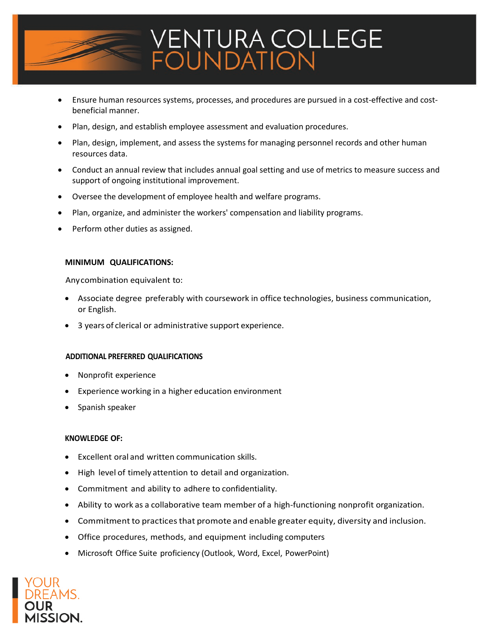

- Ensure human resources systems, processes, and procedures are pursued in a cost-effective and costbeneficial manner.
- Plan, design, and establish employee assessment and evaluation procedures.
- Plan, design, implement, and assess the systems for managing personnel records and other human resources data.
- Conduct an annual review that includes annual goal setting and use of metrics to measure success and support of ongoing institutional improvement.
- Oversee the development of employee health and welfare programs.
- Plan, organize, and administer the workers' compensation and liability programs.
- Perform other duties as assigned.

### **MINIMUM QUALIFICATIONS:**

Anycombination equivalent to:

- Associate degree preferably with coursework in office technologies, business communication, or English.
- 3 years of clerical or administrative support experience.

### **ADDITIONAL PREFERRED QUALIFICATIONS**

- Nonprofit experience
- Experience working in a higher education environment
- Spanish speaker

### **KNOWLEDGE OF:**

- Excellent oral and written communication skills.
- High level of timely attention to detail and organization.
- Commitment and ability to adhere to confidentiality.
- Ability to work as a collaborative team member of a high-functioning nonprofit organization.
- Commitment to practices that promote and enable greater equity, diversity and inclusion.
- Office procedures, methods, and equipment including computers
- Microsoft Office Suite proficiency (Outlook, Word, Excel, PowerPoint)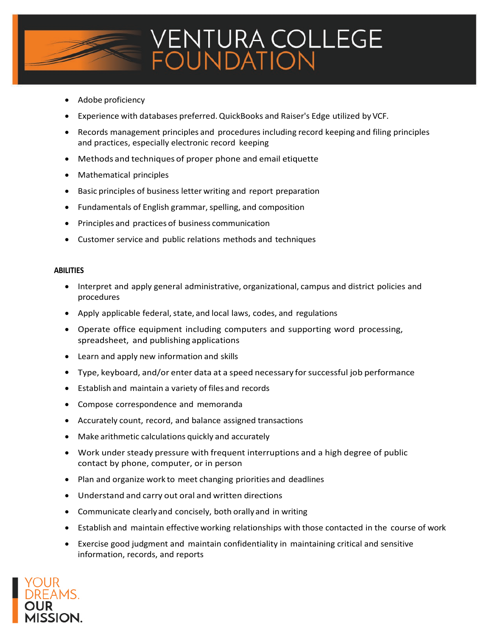

- Adobe proficiency
- Experience with databases preferred.QuickBooks and Raiser's Edge utilized by VCF.
- Records management principles and procedures including record keeping and filing principles and practices, especially electronic record keeping
- Methods and techniques of proper phone and email etiquette
- Mathematical principles
- Basic principles of business letter writing and report preparation
- Fundamentals of English grammar, spelling, and composition
- Principles and practices of business communication
- Customer service and public relations methods and techniques

### **ABILITIES**

- Interpret and apply general administrative, organizational, campus and district policies and procedures
- Apply applicable federal, state, and local laws, codes, and regulations
- Operate office equipment including computers and supporting word processing, spreadsheet, and publishing applications
- Learn and apply new information and skills
- Type, keyboard, and/or enter data at a speed necessary for successful job performance
- Establish and maintain a variety of files and records
- Compose correspondence and memoranda
- Accurately count, record, and balance assigned transactions
- Make arithmetic calculations quickly and accurately
- Work under steady pressure with frequent interruptions and a high degree of public contact by phone, computer, or in person
- Plan and organize work to meet changing priorities and deadlines
- Understand and carry out oral and written directions
- Communicate clearly and concisely, both orally and in writing
- Establish and maintain effective working relationships with those contacted in the course of work
- Exercise good judgment and maintain confidentiality in maintaining critical and sensitive information, records, and reports